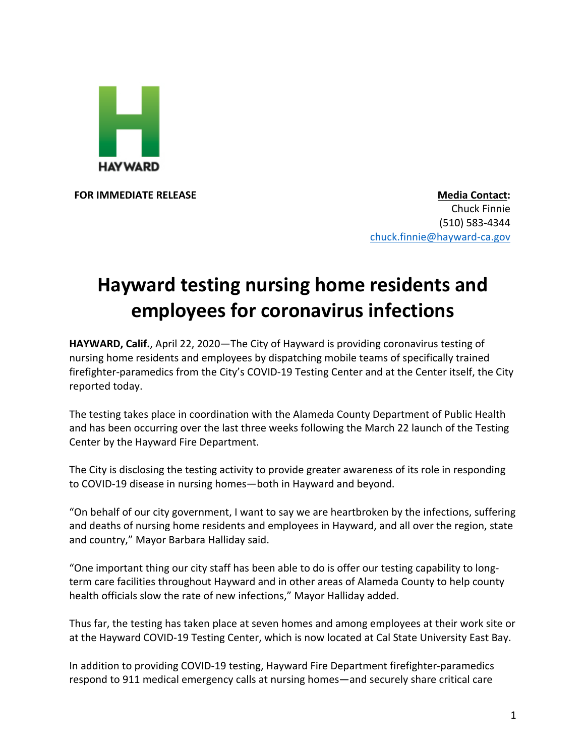

**FOR IMMEDIATE RELEASE Media Contact:** Chuck Finnie (510) 583-4344 chuck.finnie@hayward-ca.gov

## **Hayward testing nursing home residents and employees for coronavirus infections**

**HAYWARD, Calif.**, April 22, 2020—The City of Hayward is providing coronavirus testing of nursing home residents and employees by dispatching mobile teams of specifically trained firefighter-paramedics from the City's COVID-19 Testing Center and at the Center itself, the City reported today.

The testing takes place in coordination with the Alameda County Department of Public Health and has been occurring over the last three weeks following the March 22 launch of the Testing Center by the Hayward Fire Department.

The City is disclosing the testing activity to provide greater awareness of its role in responding to COVID-19 disease in nursing homes—both in Hayward and beyond.

"On behalf of our city government, I want to say we are heartbroken by the infections, suffering and deaths of nursing home residents and employees in Hayward, and all over the region, state and country," Mayor Barbara Halliday said.

"One important thing our city staff has been able to do is offer our testing capability to longterm care facilities throughout Hayward and in other areas of Alameda County to help county health officials slow the rate of new infections," Mayor Halliday added.

Thus far, the testing has taken place at seven homes and among employees at their work site or at the Hayward COVID-19 Testing Center, which is now located at Cal State University East Bay.

In addition to providing COVID-19 testing, Hayward Fire Department firefighter-paramedics respond to 911 medical emergency calls at nursing homes—and securely share critical care